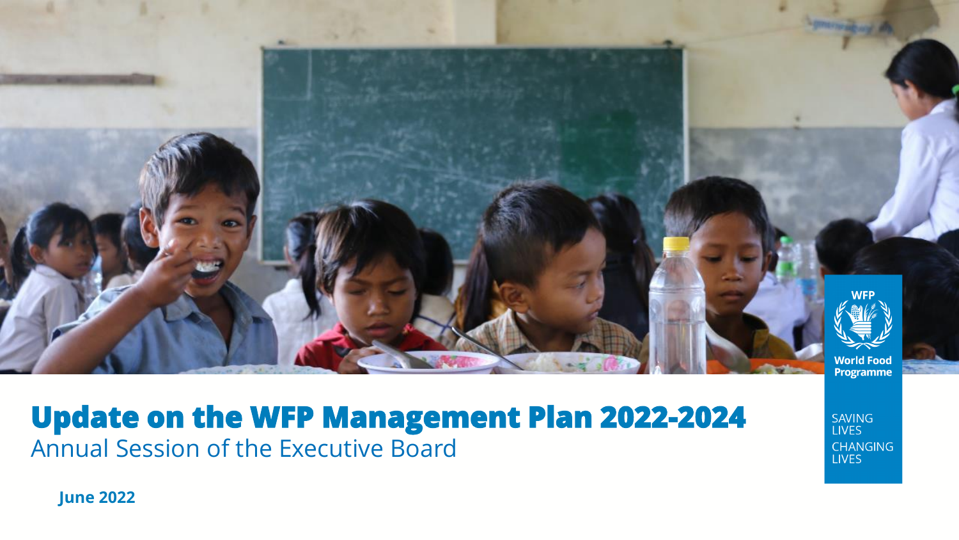

### **Update on the WFP Management Plan 2022-2024** Annual Session of the Executive Board

SAVING **LIVES CHANGING LIVES** 

**June 2022**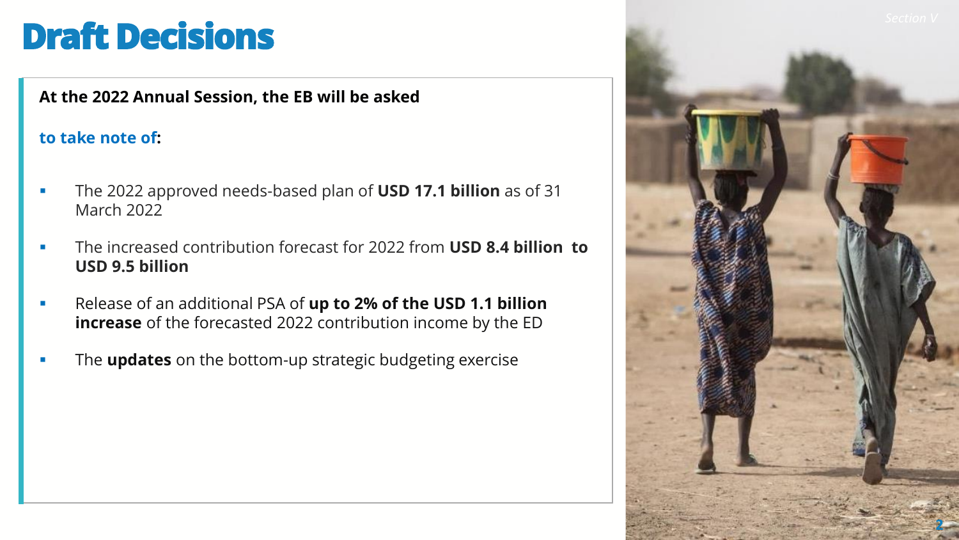### **Draft Decisions**

**At the 2022 Annual Session, the EB will be asked** 

#### **to take note of:**

- The 2022 approved needs-based plan of **USD 17.1 billion** as of 31 March 2022
- The increased contribution forecast for 2022 from **USD 8.4 billion to USD 9.5 billion**
- Release of an additional PSA of **up to 2% of the USD 1.1 billion increase** of the forecasted 2022 contribution income by the ED
- The **updates** on the bottom-up strategic budgeting exercise

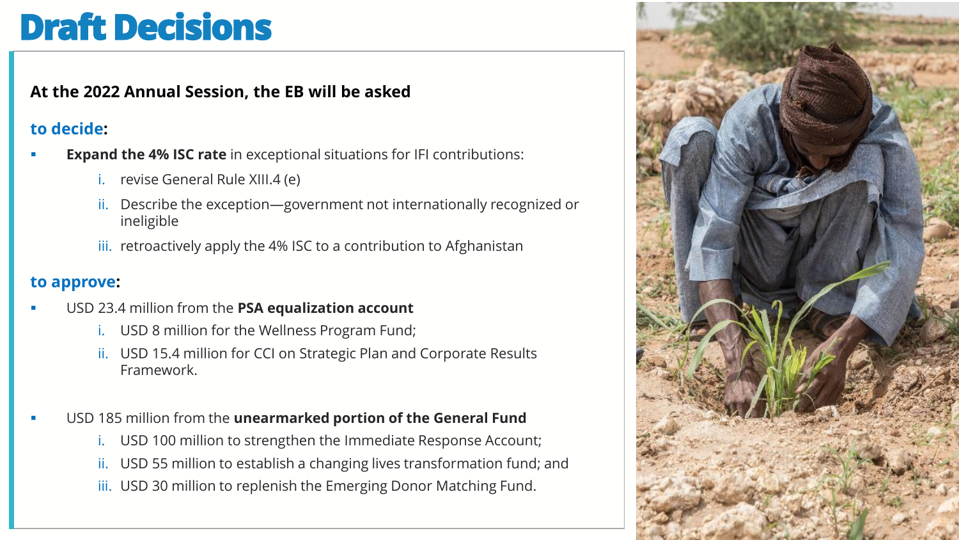## **Draft Decisions**

#### **At the 2022 Annual Session, the EB will be asked**

#### **to decide:**

- **Expand the 4% ISC rate** in exceptional situations for IFI contributions:
	- revise General Rule XIII.4 (e)
	- ii. Describe the exception—government not internationally recognized or ineligible
	- iii. retroactively apply the 4% ISC to a contribution to Afghanistan

#### **to approve:**

- USD 23.4 million from the PSA equalization account
	- USD 8 million for the Wellness Program Fund;
	- ii. USD 15.4 million for CCI on Strategic Plan and Corporate Results Framework.
- USD 185 million from the **unearmarked portion of the General Fund** 
	- i. USD 100 million to strengthen the Immediate Response Account;
	- ii. USD 55 million to establish a changing lives transformation fund; and
	- iii. USD 30 million to replenish the Emerging Donor Matching Fund.

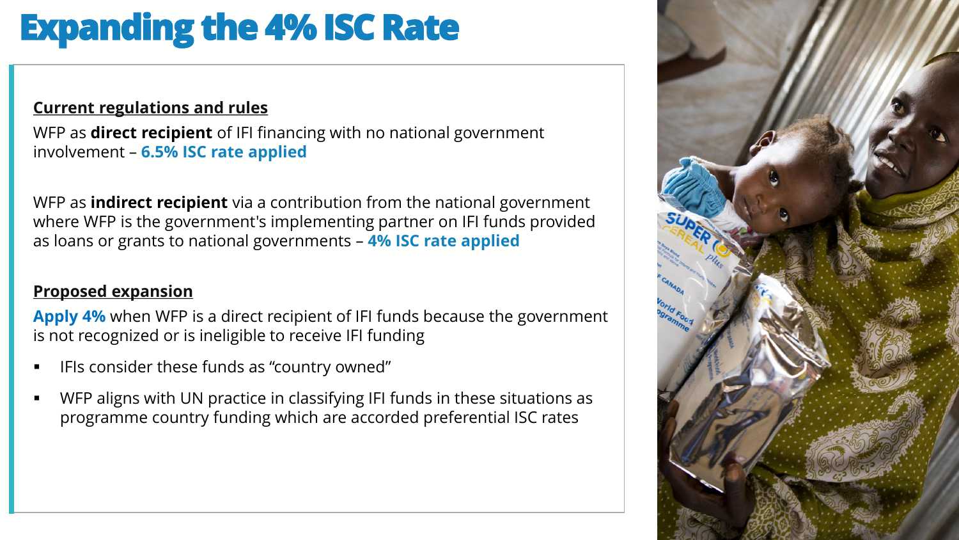# **Expanding the 4% ISC Rate**

#### **Current regulations and rules**

WFP as **direct recipient** of IFI financing with no national government involvement – **6.5% ISC rate applied**

WFP as **indirect recipient** via a contribution from the national government where WFP is the government's implementing partner on IFI funds provided as loans or grants to national governments – **4% ISC rate applied**

#### **Proposed expansion**

**Apply 4%** when WFP is a direct recipient of IFI funds because the government is not recognized or is ineligible to receive IFI funding

- IFIs consider these funds as "country owned"
- WFP aligns with UN practice in classifying IFI funds in these situations as programme country funding which are accorded preferential ISC rates

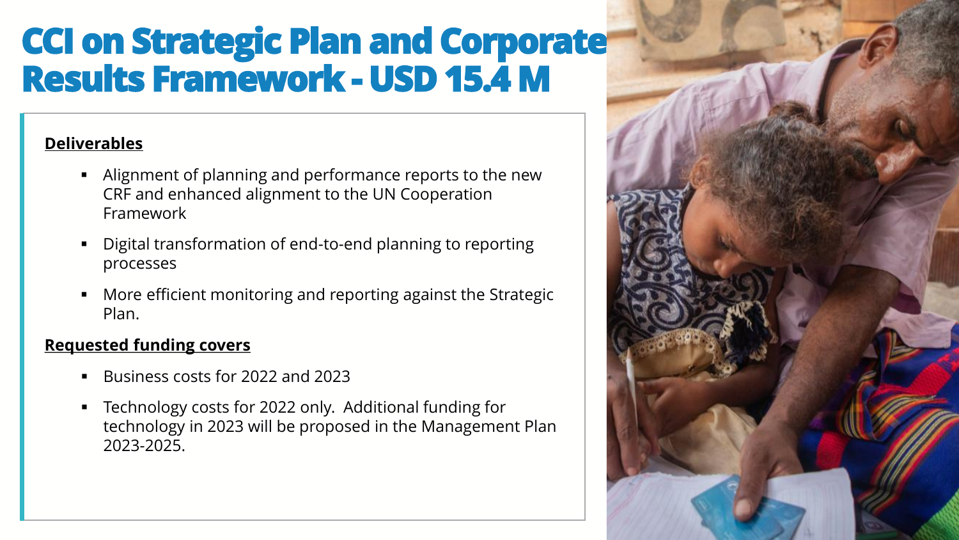### **CCI on Strategic Plan and Corporate Results Framework - USD 15.4 M**

#### **Deliverables**

- Alignment of planning and performance reports to the new CRF and enhanced alignment to the UN Cooperation Framework
- Digital transformation of end-to-end planning to reporting processes
- More efficient monitoring and reporting against the Strategic Plan.

#### **Requested funding covers**

- Business costs for 2022 and 2023
- Technology costs for 2022 only. Additional funding for technology in 2023 will be proposed in the Management Plan 2023-2025.